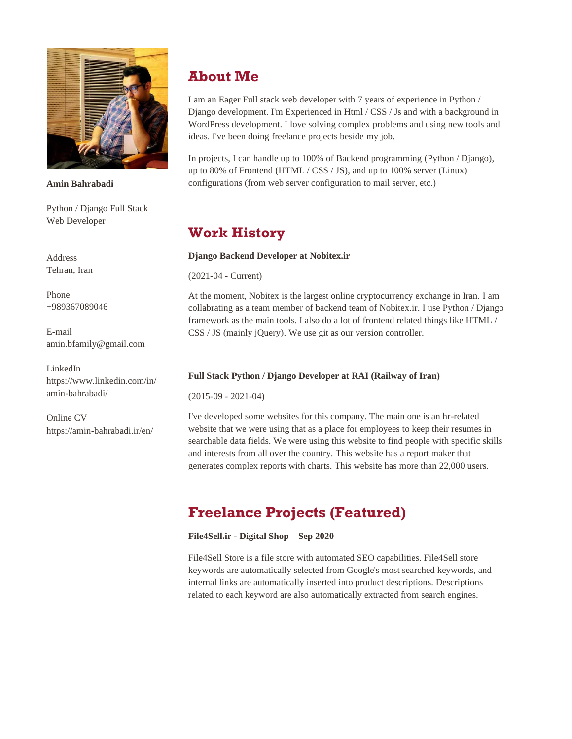

**Amin Bahrabadi**

Python / Django Full Stack Web Developer

Address Tehran, Iran

Phone +989367089046

E-mail amin.bfamily@gmail.com

LinkedIn https://www.linkedin.com/in/ amin-bahrabadi/

Online CV https://amin-bahrabadi.ir/en/

# **About Me**

I am an Eager Full stack web developer with 7 years of experience in Python / Django development. I'm Experienced in Html / CSS / Js and with a background in WordPress development. I love solving complex problems and using new tools and ideas. I've been doing freelance projects beside my job.

In projects, I can handle up to 100% of Backend programming (Python / Django), up to 80% of Frontend (HTML / CSS / JS), and up to 100% server (Linux) configurations (from web server configuration to mail server, etc.)

# **Work History**

### **Django Backend Developer at Nobitex.ir**

(2021-04 - Current)

At the moment, Nobitex is the largest online cryptocurrency exchange in Iran. I am collabrating as a team member of backend team of Nobitex.ir. I use Python / Django framework as the main tools. I also do a lot of frontend related things like HTML / CSS / JS (mainly jQuery). We use git as our version controller.

## **Full Stack Python / Django Developer at RAI (Railway of Iran)**

(2015-09 - 2021-04)

I've developed some websites for this company. The main one is an hr-related website that we were using that as a place for employees to keep their resumes in searchable data fields. We were using this website to find people with specific skills and interests from all over the country. This website has a report maker that generates complex reports with charts. This website has more than 22,000 users.

# **Freelance Projects (Featured)**

### **File4Sell.ir - Digital Shop – Sep 2020**

File4Sell Store is a file store with automated SEO capabilities. File4Sell store keywords are automatically selected from Google's most searched keywords, and internal links are automatically inserted into product descriptions. Descriptions related to each keyword are also automatically extracted from search engines.